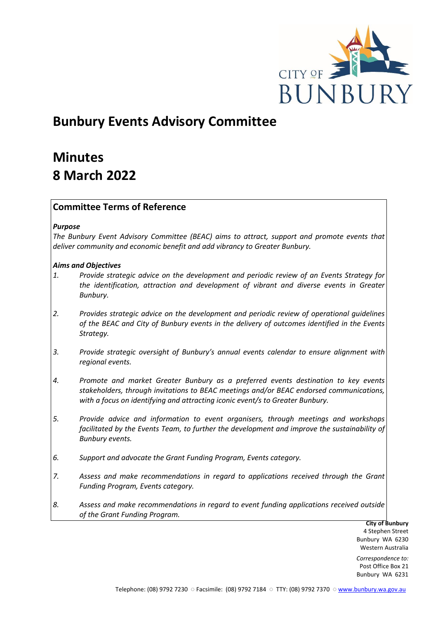

# **Bunbury Events Advisory Committee**

# **Minutes 8 March 2022**

# **Committee Terms of Reference**

#### *Purpose*

*The Bunbury Event Advisory Committee (BEAC) aims to attract, support and promote events that deliver community and economic benefit and add vibrancy to Greater Bunbury.*

#### *Aims and Objectives*

- *1. Provide strategic advice on the development and periodic review of an Events Strategy for the identification, attraction and development of vibrant and diverse events in Greater Bunbury.*
- *2. Provides strategic advice on the development and periodic review of operational guidelines of the BEAC and City of Bunbury events in the delivery of outcomes identified in the Events Strategy.*
- *3. Provide strategic oversight of Bunbury's annual events calendar to ensure alignment with regional events.*
- *4. Promote and market Greater Bunbury as a preferred events destination to key events stakeholders, through invitations to BEAC meetings and/or BEAC endorsed communications, with a focus on identifying and attracting iconic event/s to Greater Bunbury.*
- *5. Provide advice and information to event organisers, through meetings and workshops*  facilitated by the Events Team, to further the development and improve the sustainability of *Bunbury events.*
- *6. Support and advocate the Grant Funding Program, Events category.*
- *7. Assess and make recommendations in regard to applications received through the Grant Funding Program, Events category.*
- *8. Assess and make recommendations in regard to event funding applications received outside of the Grant Funding Program.*

**City of Bunbury** 4 Stephen Street Bunbury WA 6230 Western Australia

*Correspondence to:* Post Office Box 21 Bunbury WA 6231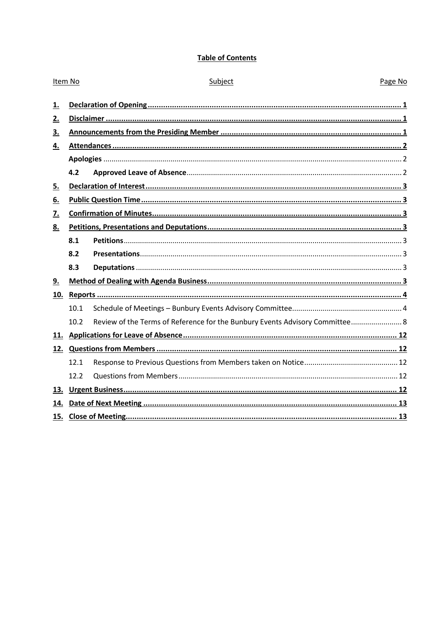# **Table of Contents**

| Item No |      | Subject                                                                      | Page No |  |  |
|---------|------|------------------------------------------------------------------------------|---------|--|--|
| 1.      |      |                                                                              |         |  |  |
| 2.      |      |                                                                              |         |  |  |
| 3.      |      |                                                                              |         |  |  |
| 4.      |      |                                                                              |         |  |  |
|         |      |                                                                              |         |  |  |
|         | 4.2  |                                                                              |         |  |  |
| 5.      |      |                                                                              |         |  |  |
| 6.      |      |                                                                              |         |  |  |
| 7.      |      |                                                                              |         |  |  |
| 8.      |      |                                                                              |         |  |  |
|         | 8.1  |                                                                              |         |  |  |
|         | 8.2  |                                                                              |         |  |  |
|         | 8.3  |                                                                              |         |  |  |
| 9.      |      |                                                                              |         |  |  |
|         |      |                                                                              |         |  |  |
|         | 10.1 |                                                                              |         |  |  |
|         | 10.2 | Review of the Terms of Reference for the Bunbury Events Advisory Committee 8 |         |  |  |
|         |      |                                                                              |         |  |  |
|         |      |                                                                              |         |  |  |
|         | 12.1 |                                                                              |         |  |  |
|         | 12.2 |                                                                              |         |  |  |
|         |      |                                                                              |         |  |  |
|         |      |                                                                              |         |  |  |
|         |      |                                                                              |         |  |  |
|         |      |                                                                              |         |  |  |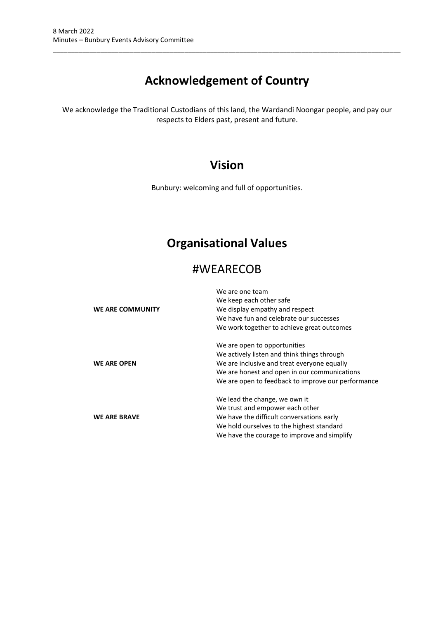# **Acknowledgement of Country**

\_\_\_\_\_\_\_\_\_\_\_\_\_\_\_\_\_\_\_\_\_\_\_\_\_\_\_\_\_\_\_\_\_\_\_\_\_\_\_\_\_\_\_\_\_\_\_\_\_\_\_\_\_\_\_\_\_\_\_\_\_\_\_\_\_\_\_\_\_\_\_\_\_\_\_\_\_\_\_\_\_\_\_\_\_\_\_\_\_\_\_\_\_\_\_

We acknowledge the Traditional Custodians of this land, the Wardandi Noongar people, and pay our respects to Elders past, present and future.

# **Vision**

Bunbury: welcoming and full of opportunities.

# **Organisational Values**

# #WEARECOB

| <b>WE ARE COMMUNITY</b> | We are one team<br>We keep each other safe<br>We display empathy and respect<br>We have fun and celebrate our successes<br>We work together to achieve great outcomes                                                            |
|-------------------------|----------------------------------------------------------------------------------------------------------------------------------------------------------------------------------------------------------------------------------|
| <b>WE ARE OPEN</b>      | We are open to opportunities<br>We actively listen and think things through<br>We are inclusive and treat everyone equally<br>We are honest and open in our communications<br>We are open to feedback to improve our performance |
| <b>WE ARE BRAVE</b>     | We lead the change, we own it<br>We trust and empower each other<br>We have the difficult conversations early<br>We hold ourselves to the highest standard<br>We have the courage to improve and simplify                        |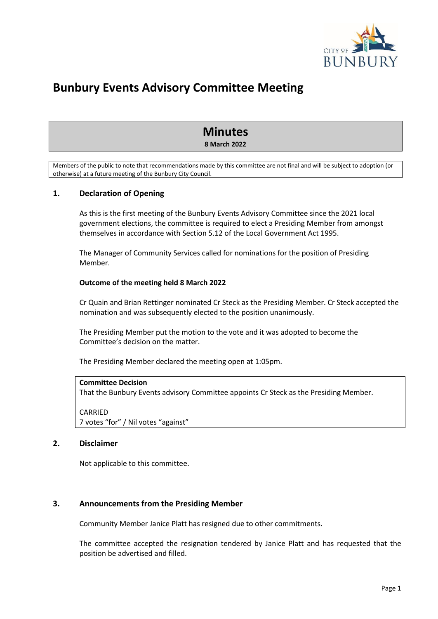

# **Bunbury Events Advisory Committee Meeting**

# **Minutes 8 March 2022**

Members of the public to note that recommendations made by this committee are not final and will be subject to adoption (or otherwise) at a future meeting of the Bunbury City Council.

# <span id="page-3-0"></span>**1. Declaration of Opening**

As this is the first meeting of the Bunbury Events Advisory Committee since the 2021 local government elections, the committee is required to elect a Presiding Member from amongst themselves in accordance with Section 5.12 of the Local Government Act 1995.

The Manager of Community Services called for nominations for the position of Presiding Member.

#### **Outcome of the meeting held 8 March 2022**

Cr Quain and Brian Rettinger nominated Cr Steck as the Presiding Member. Cr Steck accepted the nomination and was subsequently elected to the position unanimously.

The Presiding Member put the motion to the vote and it was adopted to become the Committee's decision on the matter.

The Presiding Member declared the meeting open at 1:05pm.

#### **Committee Decision**

That the Bunbury Events advisory Committee appoints Cr Steck as the Presiding Member.

CARRIED 7 votes "for" / Nil votes "against"

#### <span id="page-3-1"></span>**2. Disclaimer**

Not applicable to this committee.

# <span id="page-3-2"></span>**3. Announcements from the Presiding Member**

Community Member Janice Platt has resigned due to other commitments.

The committee accepted the resignation tendered by Janice Platt and has requested that the position be advertised and filled.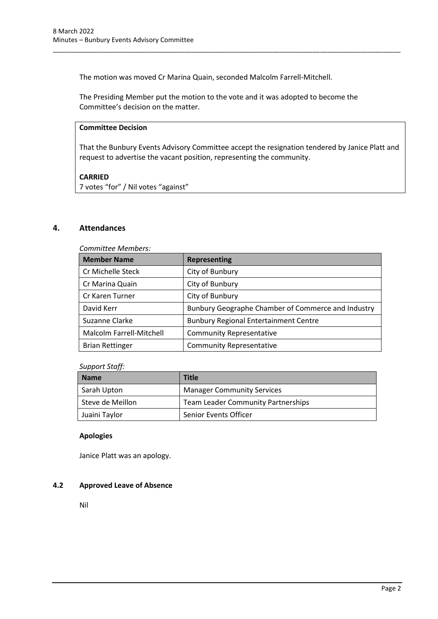The motion was moved Cr Marina Quain, seconded Malcolm Farrell-Mitchell.

The Presiding Member put the motion to the vote and it was adopted to become the Committee's decision on the matter.

\_\_\_\_\_\_\_\_\_\_\_\_\_\_\_\_\_\_\_\_\_\_\_\_\_\_\_\_\_\_\_\_\_\_\_\_\_\_\_\_\_\_\_\_\_\_\_\_\_\_\_\_\_\_\_\_\_\_\_\_\_\_\_\_\_\_\_\_\_\_\_\_\_\_\_\_\_\_\_\_\_\_\_\_\_\_\_\_\_\_\_\_\_\_\_

# **Committee Decision**

That the Bunbury Events Advisory Committee accept the resignation tendered by Janice Platt and request to advertise the vacant position, representing the community.

#### **CARRIED**

7 votes "for" / Nil votes "against"

# <span id="page-4-0"></span>**4. Attendances**

*Committee Members:*

| <b>Member Name</b>       | <b>Representing</b>                                |
|--------------------------|----------------------------------------------------|
| Cr Michelle Steck        | City of Bunbury                                    |
| Cr Marina Quain          | City of Bunbury                                    |
| Cr Karen Turner          | City of Bunbury                                    |
| David Kerr               | Bunbury Geographe Chamber of Commerce and Industry |
| Suzanne Clarke           | <b>Bunbury Regional Entertainment Centre</b>       |
| Malcolm Farrell-Mitchell | <b>Community Representative</b>                    |
| <b>Brian Rettinger</b>   | <b>Community Representative</b>                    |

#### *Support Staff:*

| <b>Name</b>      | <b>Title</b>                              |
|------------------|-------------------------------------------|
| Sarah Upton      | <b>Manager Community Services</b>         |
| Steve de Meillon | <b>Team Leader Community Partnerships</b> |
| Juaini Taylor    | <b>Senior Events Officer</b>              |

#### <span id="page-4-1"></span>**Apologies**

Janice Platt was an apology.

#### <span id="page-4-2"></span>**4.2 Approved Leave of Absence**

Nil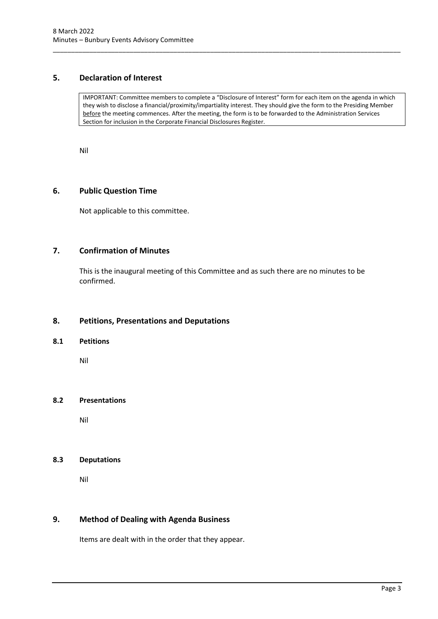# <span id="page-5-0"></span>**5. Declaration of Interest**

IMPORTANT: Committee members to complete a "Disclosure of Interest" form for each item on the agenda in which they wish to disclose a financial/proximity/impartiality interest. They should give the form to the Presiding Member before the meeting commences. After the meeting, the form is to be forwarded to the Administration Services Section for inclusion in the Corporate Financial Disclosures Register.

\_\_\_\_\_\_\_\_\_\_\_\_\_\_\_\_\_\_\_\_\_\_\_\_\_\_\_\_\_\_\_\_\_\_\_\_\_\_\_\_\_\_\_\_\_\_\_\_\_\_\_\_\_\_\_\_\_\_\_\_\_\_\_\_\_\_\_\_\_\_\_\_\_\_\_\_\_\_\_\_\_\_\_\_\_\_\_\_\_\_\_\_\_\_\_

Nil

# <span id="page-5-1"></span>**6. Public Question Time**

Not applicable to this committee.

# <span id="page-5-2"></span>**7. Confirmation of Minutes**

This is the inaugural meeting of this Committee and as such there are no minutes to be confirmed.

# <span id="page-5-3"></span>**8. Petitions, Presentations and Deputations**

#### <span id="page-5-4"></span>**8.1 Petitions**

Nil

#### <span id="page-5-5"></span>**8.2 Presentations**

Nil

#### <span id="page-5-6"></span>**8.3 Deputations**

Nil

#### <span id="page-5-7"></span>**9. Method of Dealing with Agenda Business**

Items are dealt with in the order that they appear.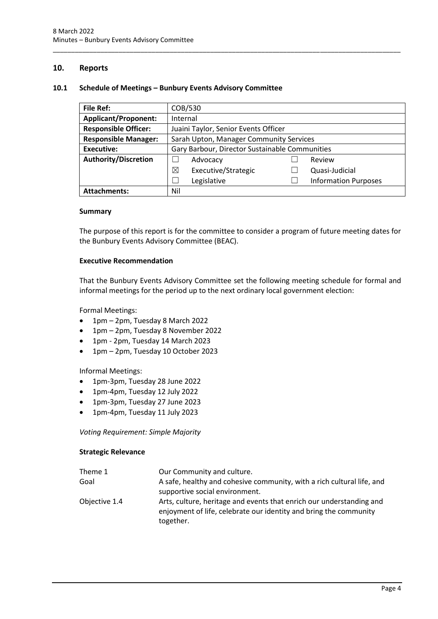#### <span id="page-6-0"></span>**10. Reports**

#### <span id="page-6-1"></span>**10.1 Schedule of Meetings – Bunbury Events Advisory Committee**

| <b>File Ref:</b>            | COB/530                                        |  |                             |
|-----------------------------|------------------------------------------------|--|-----------------------------|
| <b>Applicant/Proponent:</b> | Internal                                       |  |                             |
| <b>Responsible Officer:</b> | Juaini Taylor, Senior Events Officer           |  |                             |
| <b>Responsible Manager:</b> | Sarah Upton, Manager Community Services        |  |                             |
| <b>Executive:</b>           | Gary Barbour, Director Sustainable Communities |  |                             |
| <b>Authority/Discretion</b> | Advocacy                                       |  | Review                      |
|                             | ⊠<br>Executive/Strategic                       |  | Quasi-Judicial              |
|                             | Legislative                                    |  | <b>Information Purposes</b> |
| <b>Attachments:</b>         | Nil                                            |  |                             |

\_\_\_\_\_\_\_\_\_\_\_\_\_\_\_\_\_\_\_\_\_\_\_\_\_\_\_\_\_\_\_\_\_\_\_\_\_\_\_\_\_\_\_\_\_\_\_\_\_\_\_\_\_\_\_\_\_\_\_\_\_\_\_\_\_\_\_\_\_\_\_\_\_\_\_\_\_\_\_\_\_\_\_\_\_\_\_\_\_\_\_\_\_\_\_

#### **Summary**

The purpose of this report is for the committee to consider a program of future meeting dates for the Bunbury Events Advisory Committee (BEAC).

#### **Executive Recommendation**

That the Bunbury Events Advisory Committee set the following meeting schedule for formal and informal meetings for the period up to the next ordinary local government election:

Formal Meetings:

- 1pm 2pm, Tuesday 8 March 2022
- 1pm 2pm, Tuesday 8 November 2022
- 1pm 2pm, Tuesday 14 March 2023
- 1pm 2pm, Tuesday 10 October 2023

Informal Meetings:

- 1pm-3pm, Tuesday 28 June 2022
- 1pm-4pm, Tuesday 12 July 2022
- 1pm-3pm, Tuesday 27 June 2023
- 1pm-4pm, Tuesday 11 July 2023

*Voting Requirement: Simple Majority*

#### **Strategic Relevance**

| Theme 1       | Our Community and culture.                                                                                                                             |
|---------------|--------------------------------------------------------------------------------------------------------------------------------------------------------|
| Goal          | A safe, healthy and cohesive community, with a rich cultural life, and                                                                                 |
|               | supportive social environment.                                                                                                                         |
| Objective 1.4 | Arts, culture, heritage and events that enrich our understanding and<br>enjoyment of life, celebrate our identity and bring the community<br>together. |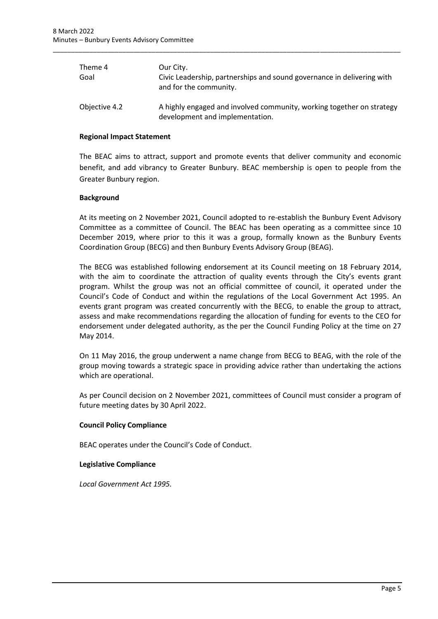| Theme 4<br>Goal | Our City.<br>Civic Leadership, partnerships and sound governance in delivering with<br>and for the community. |
|-----------------|---------------------------------------------------------------------------------------------------------------|
| Objective 4.2   | A highly engaged and involved community, working together on strategy<br>development and implementation.      |

\_\_\_\_\_\_\_\_\_\_\_\_\_\_\_\_\_\_\_\_\_\_\_\_\_\_\_\_\_\_\_\_\_\_\_\_\_\_\_\_\_\_\_\_\_\_\_\_\_\_\_\_\_\_\_\_\_\_\_\_\_\_\_\_\_\_\_\_\_\_\_\_\_\_\_\_\_\_\_\_\_\_\_\_\_\_\_\_\_\_\_\_\_\_\_

#### **Regional Impact Statement**

The BEAC aims to attract, support and promote events that deliver community and economic benefit, and add vibrancy to Greater Bunbury. BEAC membership is open to people from the Greater Bunbury region.

#### **Background**

At its meeting on 2 November 2021, Council adopted to re-establish the Bunbury Event Advisory Committee as a committee of Council. The BEAC has been operating as a committee since 10 December 2019, where prior to this it was a group, formally known as the Bunbury Events Coordination Group (BECG) and then Bunbury Events Advisory Group (BEAG).

The BECG was established following endorsement at its Council meeting on 18 February 2014, with the aim to coordinate the attraction of quality events through the City's events grant program. Whilst the group was not an official committee of council, it operated under the Council's Code of Conduct and within the regulations of the Local Government Act 1995. An events grant program was created concurrently with the BECG, to enable the group to attract, assess and make recommendations regarding the allocation of funding for events to the CEO for endorsement under delegated authority, as the per the Council Funding Policy at the time on 27 May 2014.

On 11 May 2016, the group underwent a name change from BECG to BEAG, with the role of the group moving towards a strategic space in providing advice rather than undertaking the actions which are operational.

As per Council decision on 2 November 2021, committees of Council must consider a program of future meeting dates by 30 April 2022.

#### **Council Policy Compliance**

BEAC operates under the Council's Code of Conduct.

#### **Legislative Compliance**

*Local Government Act 1995.*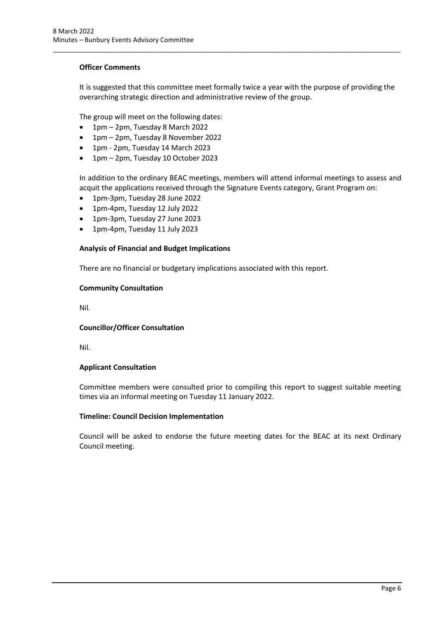#### **Officer Comments**

It is suggested that this committee meet formally twice a year with the purpose of providing the overarching strategic direction and administrative review of the group.

\_\_\_\_\_\_\_\_\_\_\_\_\_\_\_\_\_\_\_\_\_\_\_\_\_\_\_\_\_\_\_\_\_\_\_\_\_\_\_\_\_\_\_\_\_\_\_\_\_\_\_\_\_\_\_\_\_\_\_\_\_\_\_\_\_\_\_\_\_\_\_\_\_\_\_\_\_\_\_\_\_\_\_\_\_\_\_\_\_\_\_\_\_\_\_

The group will meet on the following dates:

- 1pm 2pm, Tuesday 8 March 2022
- 1pm 2pm, Tuesday 8 November 2022
- 1pm 2pm, Tuesday 14 March 2023
- 1pm 2pm, Tuesday 10 October 2023

In addition to the ordinary BEAC meetings, members will attend informal meetings to assess and acquit the applications received through the Signature Events category, Grant Program on:

- 1pm-3pm, Tuesday 28 June 2022
- 1pm-4pm, Tuesday 12 July 2022
- 1pm-3pm, Tuesday 27 June 2023
- 1pm-4pm, Tuesday 11 July 2023

#### **Analysis of Financial and Budget Implications**

There are no financial or budgetary implications associated with this report.

#### **Community Consultation**

Nil.

#### **Councillor/Officer Consultation**

Nil.

#### **Applicant Consultation**

Committee members were consulted prior to compiling this report to suggest suitable meeting times via an informal meeting on Tuesday 11 January 2022.

#### **Timeline: Council Decision Implementation**

Council will be asked to endorse the future meeting dates for the BEAC at its next Ordinary Council meeting.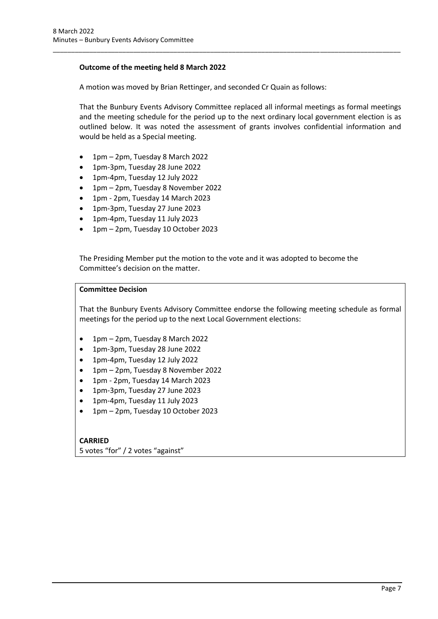#### **Outcome of the meeting held 8 March 2022**

A motion was moved by Brian Rettinger, and seconded Cr Quain as follows:

That the Bunbury Events Advisory Committee replaced all informal meetings as formal meetings and the meeting schedule for the period up to the next ordinary local government election is as outlined below. It was noted the assessment of grants involves confidential information and would be held as a Special meeting.

\_\_\_\_\_\_\_\_\_\_\_\_\_\_\_\_\_\_\_\_\_\_\_\_\_\_\_\_\_\_\_\_\_\_\_\_\_\_\_\_\_\_\_\_\_\_\_\_\_\_\_\_\_\_\_\_\_\_\_\_\_\_\_\_\_\_\_\_\_\_\_\_\_\_\_\_\_\_\_\_\_\_\_\_\_\_\_\_\_\_\_\_\_\_\_

- 1pm 2pm, Tuesday 8 March 2022
- 1pm-3pm, Tuesday 28 June 2022
- 1pm-4pm, Tuesday 12 July 2022
- 1pm 2pm, Tuesday 8 November 2022
- 1pm 2pm, Tuesday 14 March 2023
- 1pm-3pm, Tuesday 27 June 2023
- 1pm-4pm, Tuesday 11 July 2023
- 1pm 2pm, Tuesday 10 October 2023

The Presiding Member put the motion to the vote and it was adopted to become the Committee's decision on the matter.

#### **Committee Decision**

That the Bunbury Events Advisory Committee endorse the following meeting schedule as formal meetings for the period up to the next Local Government elections:

- 1pm 2pm, Tuesday 8 March 2022
- 1pm-3pm, Tuesday 28 June 2022
- 1pm-4pm, Tuesday 12 July 2022
- 1pm 2pm, Tuesday 8 November 2022
- 1pm 2pm, Tuesday 14 March 2023
- 1pm-3pm, Tuesday 27 June 2023
- 1pm-4pm, Tuesday 11 July 2023
- 1pm 2pm, Tuesday 10 October 2023

# **CARRIED**

5 votes "for" / 2 votes "against"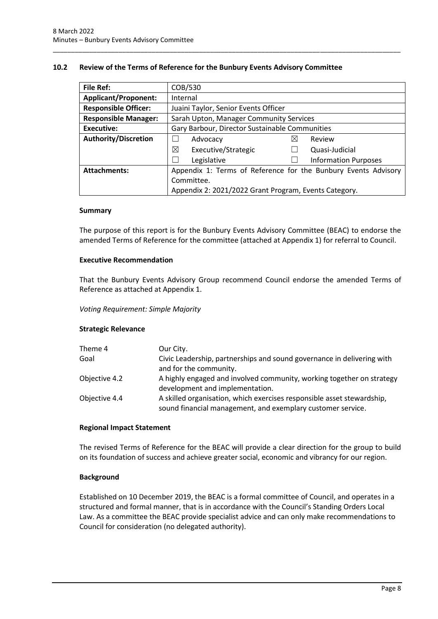#### <span id="page-10-0"></span>**10.2 Review of the Terms of Reference for the Bunbury Events Advisory Committee**

\_\_\_\_\_\_\_\_\_\_\_\_\_\_\_\_\_\_\_\_\_\_\_\_\_\_\_\_\_\_\_\_\_\_\_\_\_\_\_\_\_\_\_\_\_\_\_\_\_\_\_\_\_\_\_\_\_\_\_\_\_\_\_\_\_\_\_\_\_\_\_\_\_\_\_\_\_\_\_\_\_\_\_\_\_\_\_\_\_\_\_\_\_\_\_

| <b>File Ref:</b>            | COB/530                                                        |   |                             |  |
|-----------------------------|----------------------------------------------------------------|---|-----------------------------|--|
| <b>Applicant/Proponent:</b> | Internal                                                       |   |                             |  |
| <b>Responsible Officer:</b> | Juaini Taylor, Senior Events Officer                           |   |                             |  |
| <b>Responsible Manager:</b> | Sarah Upton, Manager Community Services                        |   |                             |  |
| <b>Executive:</b>           | Gary Barbour, Director Sustainable Communities                 |   |                             |  |
| <b>Authority/Discretion</b> | Advocacy                                                       | ⋉ | Review                      |  |
|                             | ⊠<br>Executive/Strategic                                       |   | Quasi-Judicial              |  |
|                             | Legislative                                                    |   | <b>Information Purposes</b> |  |
| <b>Attachments:</b>         | Appendix 1: Terms of Reference for the Bunbury Events Advisory |   |                             |  |
|                             | Committee.                                                     |   |                             |  |
|                             | Appendix 2: 2021/2022 Grant Program, Events Category.          |   |                             |  |

#### **Summary**

The purpose of this report is for the Bunbury Events Advisory Committee (BEAC) to endorse the amended Terms of Reference for the committee (attached at Appendix 1) for referral to Council.

#### **Executive Recommendation**

That the Bunbury Events Advisory Group recommend Council endorse the amended Terms of Reference as attached at Appendix 1.

#### *Voting Requirement: Simple Majority*

#### **Strategic Relevance**

| Theme 4       | Our City.                                                                                                                             |
|---------------|---------------------------------------------------------------------------------------------------------------------------------------|
| Goal          | Civic Leadership, partnerships and sound governance in delivering with<br>and for the community.                                      |
| Objective 4.2 | A highly engaged and involved community, working together on strategy<br>development and implementation.                              |
| Objective 4.4 | A skilled organisation, which exercises responsible asset stewardship,<br>sound financial management, and exemplary customer service. |

#### **Regional Impact Statement**

The revised Terms of Reference for the BEAC will provide a clear direction for the group to build on its foundation of success and achieve greater social, economic and vibrancy for our region.

#### **Background**

Established on 10 December 2019, the BEAC is a formal committee of Council, and operates in a structured and formal manner, that is in accordance with the Council's Standing Orders Local Law. As a committee the BEAC provide specialist advice and can only make recommendations to Council for consideration (no delegated authority).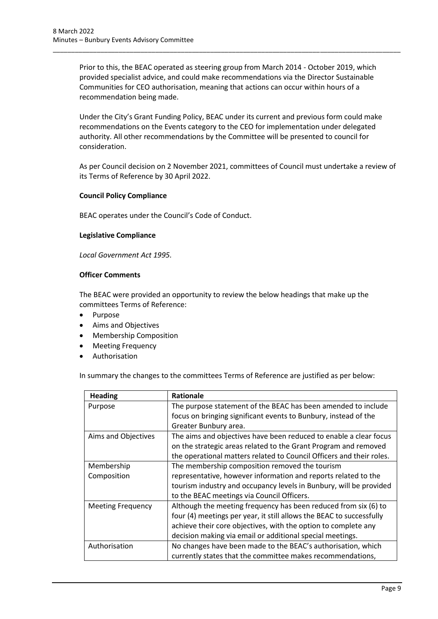Prior to this, the BEAC operated as steering group from March 2014 - October 2019, which provided specialist advice, and could make recommendations via the Director Sustainable Communities for CEO authorisation, meaning that actions can occur within hours of a recommendation being made.

\_\_\_\_\_\_\_\_\_\_\_\_\_\_\_\_\_\_\_\_\_\_\_\_\_\_\_\_\_\_\_\_\_\_\_\_\_\_\_\_\_\_\_\_\_\_\_\_\_\_\_\_\_\_\_\_\_\_\_\_\_\_\_\_\_\_\_\_\_\_\_\_\_\_\_\_\_\_\_\_\_\_\_\_\_\_\_\_\_\_\_\_\_\_\_

Under the City's Grant Funding Policy, BEAC under its current and previous form could make recommendations on the Events category to the CEO for implementation under delegated authority. All other recommendations by the Committee will be presented to council for consideration.

As per Council decision on 2 November 2021, committees of Council must undertake a review of its Terms of Reference by 30 April 2022.

#### **Council Policy Compliance**

BEAC operates under the Council's Code of Conduct.

#### **Legislative Compliance**

*Local Government Act 1995.*

#### **Officer Comments**

The BEAC were provided an opportunity to review the below headings that make up the committees Terms of Reference:

- Purpose
- Aims and Objectives
- Membership Composition
- Meeting Frequency
- **Authorisation**

In summary the changes to the committees Terms of Reference are justified as per below:

| <b>Heading</b>           | Rationale                                                            |
|--------------------------|----------------------------------------------------------------------|
| Purpose                  | The purpose statement of the BEAC has been amended to include        |
|                          | focus on bringing significant events to Bunbury, instead of the      |
|                          | Greater Bunbury area.                                                |
| Aims and Objectives      | The aims and objectives have been reduced to enable a clear focus    |
|                          | on the strategic areas related to the Grant Program and removed      |
|                          | the operational matters related to Council Officers and their roles. |
| Membership               | The membership composition removed the tourism                       |
| Composition              | representative, however information and reports related to the       |
|                          | tourism industry and occupancy levels in Bunbury, will be provided   |
|                          | to the BEAC meetings via Council Officers.                           |
| <b>Meeting Frequency</b> | Although the meeting frequency has been reduced from six (6) to      |
|                          | four (4) meetings per year, it still allows the BEAC to successfully |
|                          | achieve their core objectives, with the option to complete any       |
|                          | decision making via email or additional special meetings.            |
| Authorisation            | No changes have been made to the BEAC's authorisation, which         |
|                          | currently states that the committee makes recommendations,           |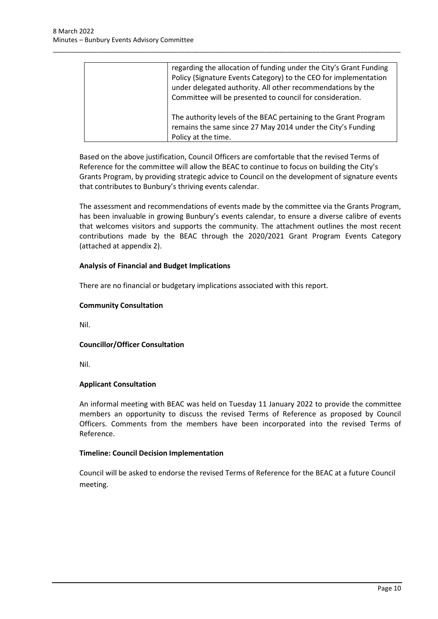| regarding the allocation of funding under the City's Grant Funding<br>Policy (Signature Events Category) to the CEO for implementation<br>under delegated authority. All other recommendations by the<br>Committee will be presented to council for consideration. |
|--------------------------------------------------------------------------------------------------------------------------------------------------------------------------------------------------------------------------------------------------------------------|
| The authority levels of the BEAC pertaining to the Grant Program<br>remains the same since 27 May 2014 under the City's Funding<br>Policy at the time.                                                                                                             |

\_\_\_\_\_\_\_\_\_\_\_\_\_\_\_\_\_\_\_\_\_\_\_\_\_\_\_\_\_\_\_\_\_\_\_\_\_\_\_\_\_\_\_\_\_\_\_\_\_\_\_\_\_\_\_\_\_\_\_\_\_\_\_\_\_\_\_\_\_\_\_\_\_\_\_\_\_\_\_\_\_\_\_\_\_\_\_\_\_\_\_\_\_\_\_

Based on the above justification, Council Officers are comfortable that the revised Terms of Reference for the committee will allow the BEAC to continue to focus on building the City's Grants Program, by providing strategic advice to Council on the development of signature events that contributes to Bunbury's thriving events calendar.

The assessment and recommendations of events made by the committee via the Grants Program, has been invaluable in growing Bunbury's events calendar, to ensure a diverse calibre of events that welcomes visitors and supports the community. The attachment outlines the most recent contributions made by the BEAC through the 2020/2021 Grant Program Events Category (attached at appendix 2).

#### **Analysis of Financial and Budget Implications**

There are no financial or budgetary implications associated with this report.

#### **Community Consultation**

Nil.

# **Councillor/Officer Consultation**

Nil.

# **Applicant Consultation**

An informal meeting with BEAC was held on Tuesday 11 January 2022 to provide the committee members an opportunity to discuss the revised Terms of Reference as proposed by Council Officers. Comments from the members have been incorporated into the revised Terms of Reference.

#### **Timeline: Council Decision Implementation**

Council will be asked to endorse the revised Terms of Reference for the BEAC at a future Council meeting.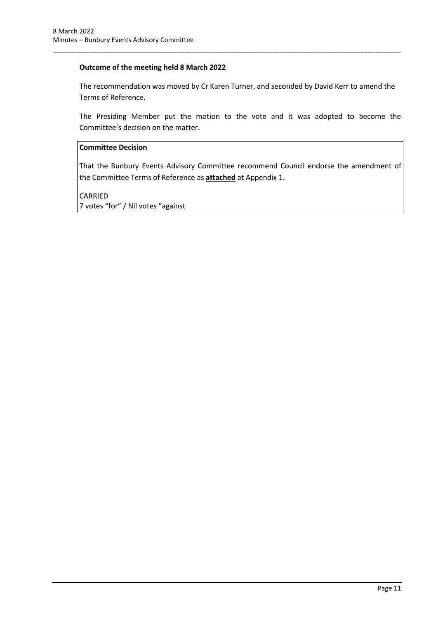#### **Outcome of the meeting held 8 March 2022**

The recommendation was moved by Cr Karen Turner, and seconded by David Kerr to amend the Terms of Reference.

\_\_\_\_\_\_\_\_\_\_\_\_\_\_\_\_\_\_\_\_\_\_\_\_\_\_\_\_\_\_\_\_\_\_\_\_\_\_\_\_\_\_\_\_\_\_\_\_\_\_\_\_\_\_\_\_\_\_\_\_\_\_\_\_\_\_\_\_\_\_\_\_\_\_\_\_\_\_\_\_\_\_\_\_\_\_\_\_\_\_\_\_\_\_\_

The Presiding Member put the motion to the vote and it was adopted to become the Committee's decision on the matter.

#### **Committee Decision**

That the Bunbury Events Advisory Committee recommend Council endorse the amendment of the Committee Terms of Reference as **attached** at Appendix 1.

CARRIED 7 votes "for" / Nil votes "against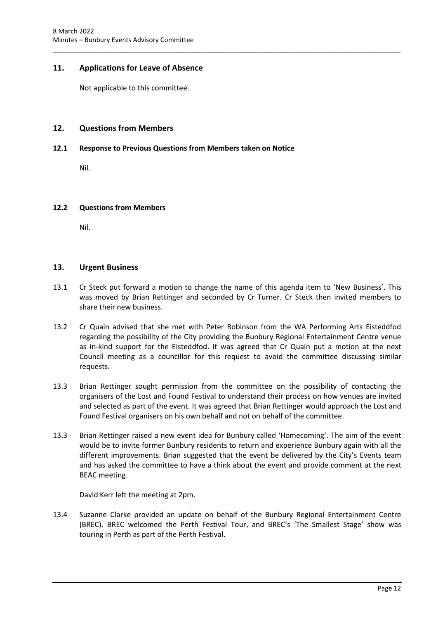# <span id="page-14-0"></span>**11. Applications for Leave of Absence**

Not applicable to this committee.

#### <span id="page-14-1"></span>**12. Questions from Members**

#### <span id="page-14-2"></span>**12.1 Response to Previous Questions from Members taken on Notice**

Nil.

#### <span id="page-14-3"></span>**12.2 Questions from Members**

Nil.

#### <span id="page-14-4"></span>**13. Urgent Business**

13.1 Cr Steck put forward a motion to change the name of this agenda item to 'New Business'. This was moved by Brian Rettinger and seconded by Cr Turner. Cr Steck then invited members to share their new business.

\_\_\_\_\_\_\_\_\_\_\_\_\_\_\_\_\_\_\_\_\_\_\_\_\_\_\_\_\_\_\_\_\_\_\_\_\_\_\_\_\_\_\_\_\_\_\_\_\_\_\_\_\_\_\_\_\_\_\_\_\_\_\_\_\_\_\_\_\_\_\_\_\_\_\_\_\_\_\_\_\_\_\_\_\_\_\_\_\_\_\_\_\_\_\_

- 13.2 Cr Quain advised that she met with Peter Robinson from the WA Performing Arts Eisteddfod regarding the possibility of the City providing the Bunbury Regional Entertainment Centre venue as in-kind support for the Eisteddfod. It was agreed that Cr Quain put a motion at the next Council meeting as a councillor for this request to avoid the committee discussing similar requests.
- 13.3 Brian Rettinger sought permission from the committee on the possibility of contacting the organisers of the Lost and Found Festival to understand their process on how venues are invited and selected as part of the event. It was agreed that Brian Rettinger would approach the Lost and Found Festival organisers on his own behalf and not on behalf of the committee.
- 13.3 Brian Rettinger raised a new event idea for Bunbury called 'Homecoming'. The aim of the event would be to invite former Bunbury residents to return and experience Bunbury again with all the different improvements. Brian suggested that the event be delivered by the City's Events team and has asked the committee to have a think about the event and provide comment at the next BEAC meeting.

David Kerr left the meeting at 2pm.

13.4 Suzanne Clarke provided an update on behalf of the Bunbury Regional Entertainment Centre (BREC). BREC welcomed the Perth Festival Tour, and BREC's 'The Smallest Stage' show was touring in Perth as part of the Perth Festival.